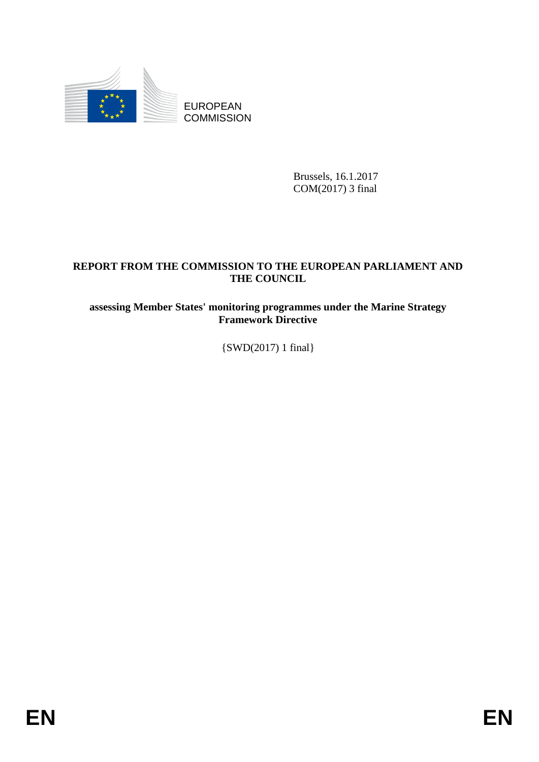

Brussels, 16.1.2017 COM(2017) 3 final

# **REPORT FROM THE COMMISSION TO THE EUROPEAN PARLIAMENT AND THE COUNCIL**

## **assessing Member States' monitoring programmes under the Marine Strategy Framework Directive**

{SWD(2017) 1 final}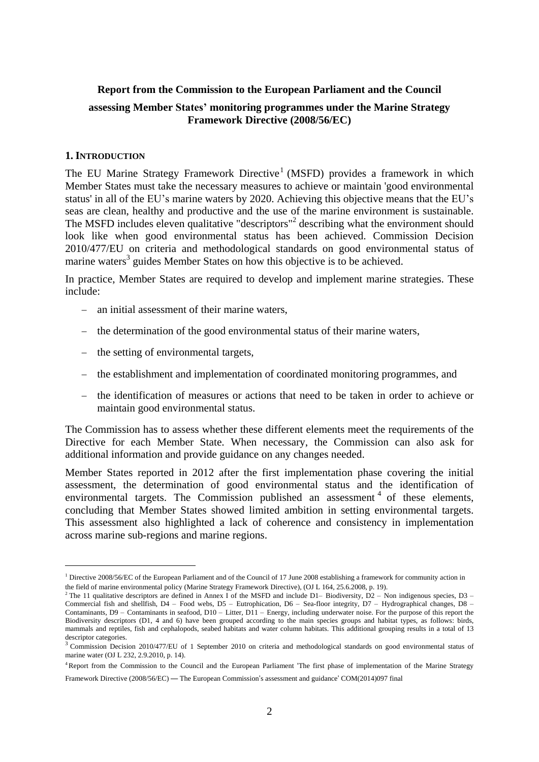### **Report from the Commission to the European Parliament and the Council**

### **assessing Member States' monitoring programmes under the Marine Strategy Framework Directive (2008/56/EC)**

#### **1. INTRODUCTION**

1

The EU Marine Strategy Framework Directive<sup>1</sup> (MSFD) provides a framework in which Member States must take the necessary measures to achieve or maintain 'good environmental status' in all of the EU's marine waters by 2020. Achieving this objective means that the EU's seas are clean, healthy and productive and the use of the marine environment is sustainable. The MSFD includes eleven qualitative "descriptors"<sup>2</sup> describing what the environment should look like when good environmental status has been achieved. Commission Decision 2010/477/EU on criteria and methodological standards on good environmental status of marine waters<sup>3</sup> guides Member States on how this objective is to be achieved.

In practice, Member States are required to develop and implement marine strategies. These include:

- an initial assessment of their marine waters,
- the determination of the good environmental status of their marine waters,
- $\theta$  the setting of environmental targets,
- the establishment and implementation of coordinated monitoring programmes, and
- $\overline{a}$  the identification of measures or actions that need to be taken in order to achieve or maintain good environmental status.

The Commission has to assess whether these different elements meet the requirements of the Directive for each Member State. When necessary, the Commission can also ask for additional information and provide guidance on any changes needed.

Member States reported in 2012 after the first implementation phase covering the initial assessment, the determination of good environmental status and the identification of environmental targets. The Commission published an assessment  $4$  of these elements, concluding that Member States showed limited ambition in setting environmental targets. This assessment also highlighted a lack of coherence and consistency in implementation across marine sub-regions and marine regions.

 $1$  Directive 2008/56/EC of the European Parliament and of the Council of 17 June 2008 establishing a framework for community action in the field of marine environmental policy (Marine Strategy Framework Directive), (OJ L 164, 25.6.2008, p. 19).

<sup>&</sup>lt;sup>2</sup> The 11 qualitative descriptors are defined in Annex I of the MSFD and include D1– Biodiversity,  $D2 -$  Non indigenous species, D3 – Commercial fish and shellfish, D4 – Food webs, D5 – Eutrophication, D6 – Sea-floor integrity, D7 – Hydrographical changes, D8 – Contaminants,  $D9 -$  Contaminants in seafood,  $D10 -$  Litter,  $D11 -$  Energy, including underwater noise. For the purpose of this report the Biodiversity descriptors (D1, 4 and 6) have been grouped according to the main species groups and habitat types, as follows: birds, mammals and reptiles, fish and cephalopods, seabed habitats and water column habitats. This additional grouping results in a total of 13 descriptor categories.

<sup>&</sup>lt;sup>3</sup> Commission Decision 2010/477/EU of 1 September 2010 on criteria and methodological standards on good environmental status of marine water (OJ L 232, 2.9.2010, p. 14).

<sup>4</sup> Report from the Commission to the Council and the European Parliament 'The first phase of implementation of the Marine Strategy Framework Directive (2008/56/EC) — The European Commission's assessment and guidance' COM(2014)097 final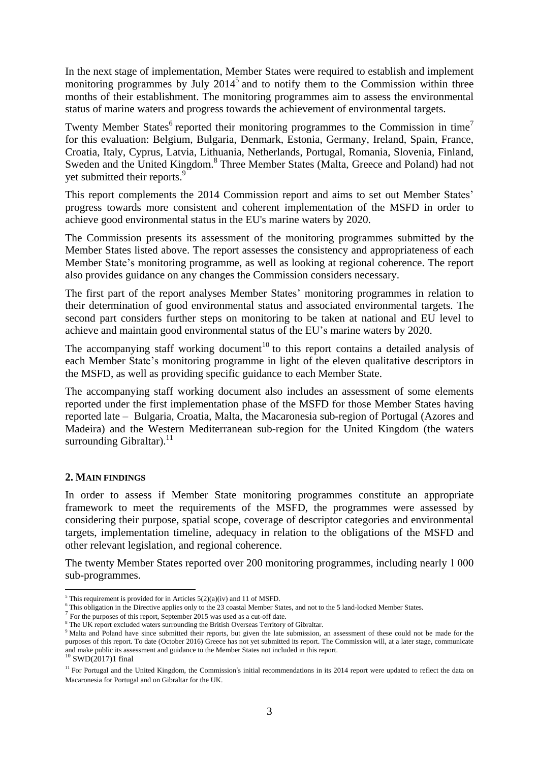In the next stage of implementation, Member States were required to establish and implement monitoring programmes by July 2014<sup>5</sup> and to notify them to the Commission within three months of their establishment. The monitoring programmes aim to assess the environmental status of marine waters and progress towards the achievement of environmental targets.

Twenty Member States<sup>6</sup> reported their monitoring programmes to the Commission in time<sup>7</sup> for this evaluation: Belgium, Bulgaria, Denmark, Estonia, Germany, Ireland, Spain, France, Croatia, Italy, Cyprus, Latvia, Lithuania, Netherlands, Portugal, Romania, Slovenia, Finland, Sweden and the United Kingdom.<sup>8</sup> Three Member States (Malta, Greece and Poland) had not yet submitted their reports.<sup>9</sup>

This report complements the 2014 Commission report and aims to set out Member States' progress towards more consistent and coherent implementation of the MSFD in order to achieve good environmental status in the EU's marine waters by 2020.

The Commission presents its assessment of the monitoring programmes submitted by the Member States listed above. The report assesses the consistency and appropriateness of each Member State's monitoring programme, as well as looking at regional coherence. The report also provides guidance on any changes the Commission considers necessary.

The first part of the report analyses Member States' monitoring programmes in relation to their determination of good environmental status and associated environmental targets. The second part considers further steps on monitoring to be taken at national and EU level to achieve and maintain good environmental status of the EU's marine waters by 2020.

The accompanying staff working document<sup>10</sup> to this report contains a detailed analysis of each Member State's monitoring programme in light of the eleven qualitative descriptors in the MSFD, as well as providing specific guidance to each Member State.

The accompanying staff working document also includes an assessment of some elements reported under the first implementation phase of the MSFD for those Member States having reported late – Bulgaria, Croatia, Malta, the Macaronesia sub-region of Portugal (Azores and Madeira) and the Western Mediterranean sub-region for the United Kingdom (the waters surrounding Gibraltar). $^{11}$ 

## **2. MAIN FINDINGS**

In order to assess if Member State monitoring programmes constitute an appropriate framework to meet the requirements of the MSFD, the programmes were assessed by considering their purpose, spatial scope, coverage of descriptor categories and environmental targets, implementation timeline, adequacy in relation to the obligations of the MSFD and other relevant legislation, and regional coherence.

The twenty Member States reported over 200 monitoring programmes, including nearly 1 000 sub-programmes.

1

 $<sup>5</sup>$  This requirement is provided for in Articles  $5(2)(a)(iv)$  and 11 of MSFD.</sup>

<sup>&</sup>lt;sup>6</sup> This obligation in the Directive applies only to the 23 coastal Member States, and not to the 5 land-locked Member States.

 $7$  For the purposes of this report, September 2015 was used as a cut-off date.

<sup>&</sup>lt;sup>8</sup> The UK report excluded waters surrounding the British Overseas Territory of Gibraltar.

<sup>&</sup>lt;sup>9</sup> Malta and Poland have since submitted their reports, but given the late submission, an assessment of these could not be made for the purposes of this report. To date (October 2016) Greece has not yet submitted its report. The Commission will, at a later stage, communicate and make public its assessment and guidance to the Member States not included in this report.<br><sup>10</sup> SWD(2017)1 final

 $11$  For Portugal and the United Kingdom, the Commission's initial recommendations in its 2014 report were updated to reflect the data on Macaronesia for Portugal and on Gibraltar for the UK.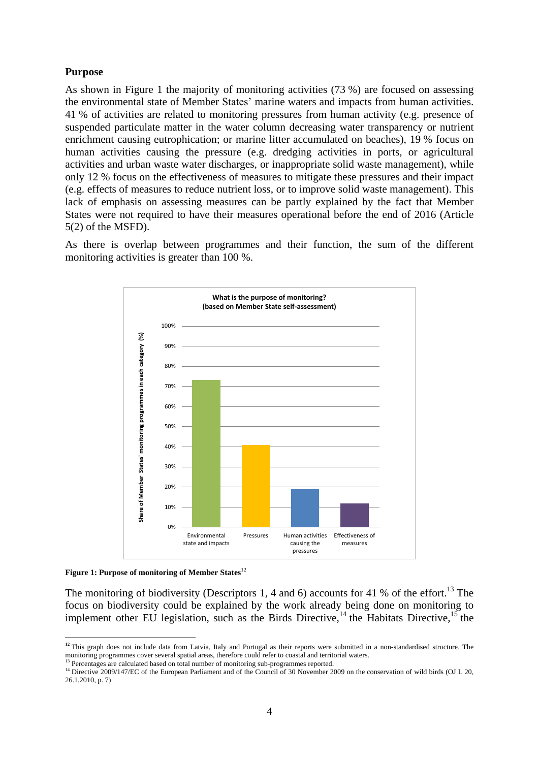### **Purpose**

As shown in Figure 1 the majority of monitoring activities (73 %) are focused on assessing the environmental state of Member States' marine waters and impacts from human activities. 41 % of activities are related to monitoring pressures from human activity (e.g. presence of suspended particulate matter in the water column decreasing water transparency or nutrient enrichment causing eutrophication; or marine litter accumulated on beaches), 19 % focus on human activities causing the pressure (e.g. dredging activities in ports, or agricultural activities and urban waste water discharges, or inappropriate solid waste management), while only 12 % focus on the effectiveness of measures to mitigate these pressures and their impact (e.g. effects of measures to reduce nutrient loss, or to improve solid waste management). This lack of emphasis on assessing measures can be partly explained by the fact that Member States were not required to have their measures operational before the end of 2016 (Article 5(2) of the MSFD).

As there is overlap between programmes and their function, the sum of the different monitoring activities is greater than 100 %.



**Figure 1: Purpose of monitoring of Member States**<sup>12</sup>

1

The monitoring of biodiversity (Descriptors 1, 4 and 6) accounts for 41 % of the effort.<sup>13</sup> The focus on biodiversity could be explained by the work already being done on monitoring to implement other EU legislation, such as the Birds Directive,<sup>14</sup> the Habitats Directive,<sup>15</sup> the

**<sup>12</sup>** This graph does not include data from Latvia, Italy and Portugal as their reports were submitted in a non-standardised structure. The monitoring programmes cover several spatial areas, therefore could refer to coastal and territorial waters.

<sup>&</sup>lt;sup>13</sup> Percentages are calculated based on total number of monitoring sub-programmes reported.

<sup>&</sup>lt;sup>14</sup> Directive 2009/147/EC of the European Parliament and of the Council of 30 November 2009 on the conservation of wild birds (OJ L 20, 26.1.2010, p. 7)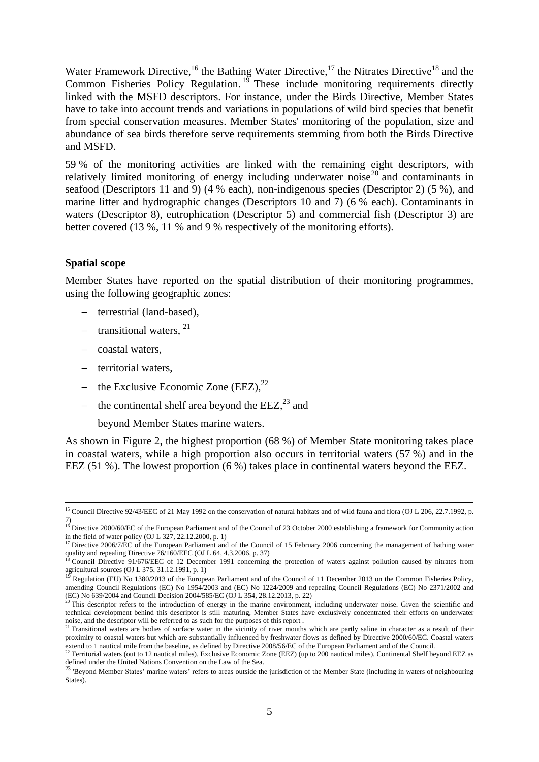Water Framework Directive,<sup>16</sup> the Bathing Water Directive,<sup>17</sup> the Nitrates Directive<sup>18</sup> and the Common Fisheries Policy Regulation.<sup>19</sup> These include monitoring requirements directly linked with the MSFD descriptors. For instance, under the Birds Directive, Member States have to take into account trends and variations in populations of wild bird species that benefit from special conservation measures. Member States' monitoring of the population, size and abundance of sea birds therefore serve requirements stemming from both the Birds Directive and MSFD.

59 % of the monitoring activities are linked with the remaining eight descriptors, with relatively limited monitoring of energy including underwater noise<sup>20</sup> and contaminants in seafood (Descriptors 11 and 9) (4 % each), non-indigenous species (Descriptor 2) (5 %), and marine litter and hydrographic changes (Descriptors 10 and 7) (6 % each). Contaminants in waters (Descriptor 8), eutrophication (Descriptor 5) and commercial fish (Descriptor 3) are better covered (13 %, 11 % and 9 % respectively of the monitoring efforts).

### **Spatial scope**

1

Member States have reported on the spatial distribution of their monitoring programmes, using the following geographic zones:

- terrestrial (land-based),
- transitional waters,  $21$
- coastal waters,
- territorial waters.
- the Exclusive Economic Zone (EEZ),  $22$
- the continental shelf area beyond the  $EEZ<sub>1</sub><sup>23</sup>$  and

beyond Member States marine waters.

As shown in Figure 2, the highest proportion (68 %) of Member State monitoring takes place in coastal waters, while a high proportion also occurs in territorial waters (57 %) and in the EEZ (51 %). The lowest proportion (6 %) takes place in continental waters beyond the EEZ.

<sup>&</sup>lt;sup>15</sup> Council Directive 92/43/EEC of 21 May 1992 on the conservation of natural habitats and of wild fauna and flora (OJ L 206, 22.7.1992, p. 7)

<sup>&</sup>lt;sup>16</sup> Directive 2000/60/EC of the European Parliament and of the Council of 23 October 2000 establishing a framework for Community action in the field of water policy (OJ L 327, 22.12.2000, p. 1)

<sup>&</sup>lt;sup>17</sup> Directive 2006/7/EC of the European Parliament and of the Council of 15 February 2006 concerning the management of bathing water quality and repealing Directive 76/160/EEC (OJ L 64, 4.3.2006, p. 37)

<sup>&</sup>lt;sup>18</sup> Council Directive 91/676/EEC of 12 December 1991 concerning the protection of waters against pollution caused by nitrates from agricultural sources (OJ L 375, 31.12.1991, p. 1)<br><sup>19</sup> Regulation (EU) No 1380/2013 of the European Parliament and of the Council of 11 December 2013 on the Common Fisheries Policy,

amending Council Regulations (EC) No 1954/2003 and (EC) No 1224/2009 and repealing Council Regulations (EC) No 2371/2002 and (EC) No 639/2004 and Council Decision 2004/585/EC (OJ L 354, 28.12.2013, p. 22)

This descriptor refers to the introduction of energy in the marine environment, including underwater noise. Given the scientific and technical development behind this descriptor is still maturing, Member States have exclusively concentrated their efforts on underwater noise, and the descriptor will be referred to as such for the purposes of this report .

<sup>&</sup>lt;sup>21</sup> Transitional waters are bodies of surface water in the vicinity of river mouths which are partly saline in character as a result of their proximity to coastal waters but which are substantially influenced by freshwater flows as defined by Directive 2000/60/EC. Coastal waters extend to 1 nautical mile from the baseline, as defined by Directive 2008/56/EC of the European Parliament and of the Council.

 $^{22}$  Territorial waters (out to 12 nautical miles), Exclusive Economic Zone (EEZ) (up to 200 nautical miles), Continental Shelf beyond EEZ as defined under the United Nations Convention on the Law of the Sea.<br><sup>23</sup> 'Beyond Member States' marine waters' refers to areas outside the jurisdiction of the Member State (including in waters of neighbouring

States).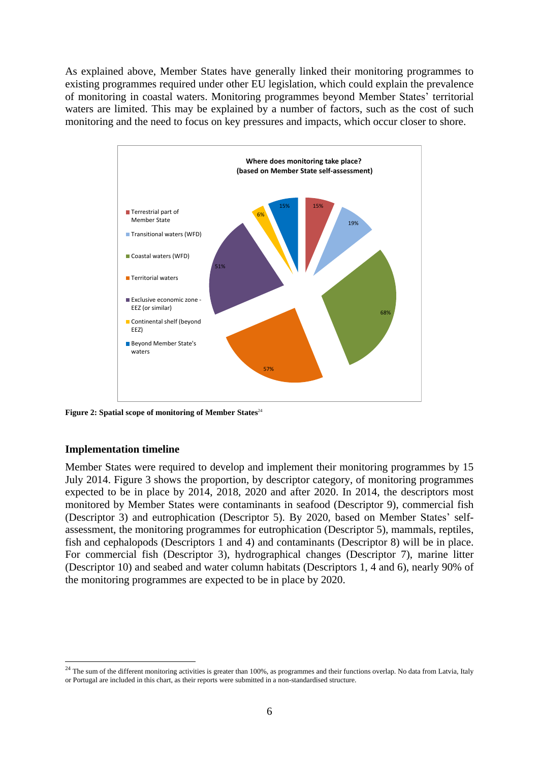As explained above, Member States have generally linked their monitoring programmes to existing programmes required under other EU legislation, which could explain the prevalence of monitoring in coastal waters. Monitoring programmes beyond Member States' territorial waters are limited. This may be explained by a number of factors, such as the cost of such monitoring and the need to focus on key pressures and impacts, which occur closer to shore.



**Figure 2: Spatial scope of monitoring of Member States**<sup>24</sup>

### **Implementation timeline**

<u>.</u>

Member States were required to develop and implement their monitoring programmes by 15 July 2014. Figure 3 shows the proportion, by descriptor category, of monitoring programmes expected to be in place by 2014, 2018, 2020 and after 2020. In 2014, the descriptors most monitored by Member States were contaminants in seafood (Descriptor 9), commercial fish (Descriptor 3) and eutrophication (Descriptor 5). By 2020, based on Member States' selfassessment, the monitoring programmes for eutrophication (Descriptor 5), mammals, reptiles, fish and cephalopods (Descriptors 1 and 4) and contaminants (Descriptor 8) will be in place. For commercial fish (Descriptor 3), hydrographical changes (Descriptor 7), marine litter (Descriptor 10) and seabed and water column habitats (Descriptors 1, 4 and 6), nearly 90% of the monitoring programmes are expected to be in place by 2020.

 $^{24}$  The sum of the different monitoring activities is greater than 100%, as programmes and their functions overlap. No data from Latvia, Italy or Portugal are included in this chart, as their reports were submitted in a non-standardised structure.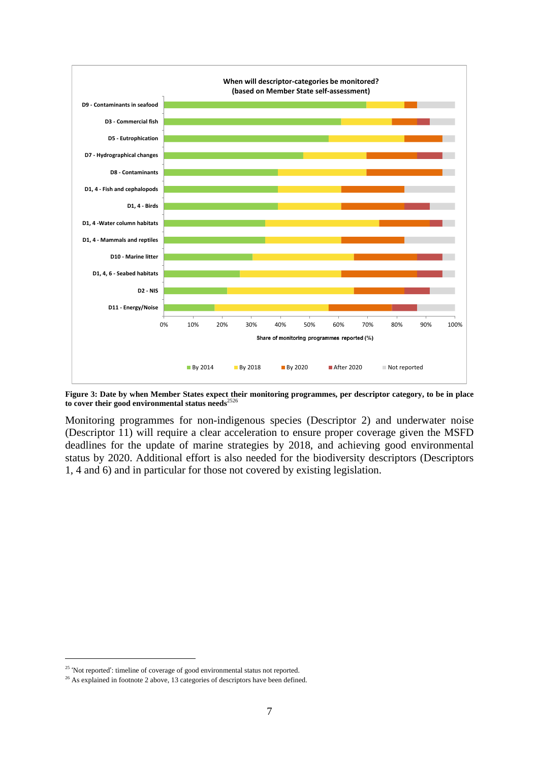

Figure 3: Date by when Member States expect their monitoring programmes, per descriptor category, to be in place **to cover their good environmental status needs**<sup>2526</sup>

Monitoring programmes for non-indigenous species (Descriptor 2) and underwater noise (Descriptor 11) will require a clear acceleration to ensure proper coverage given the MSFD deadlines for the update of marine strategies by 2018, and achieving good environmental status by 2020. Additional effort is also needed for the biodiversity descriptors (Descriptors 1, 4 and 6) and in particular for those not covered by existing legislation.

1

<sup>&</sup>lt;sup>25</sup> 'Not reported': timeline of coverage of good environmental status not reported.

<sup>&</sup>lt;sup>26</sup> As explained in footnote 2 above, 13 categories of descriptors have been defined.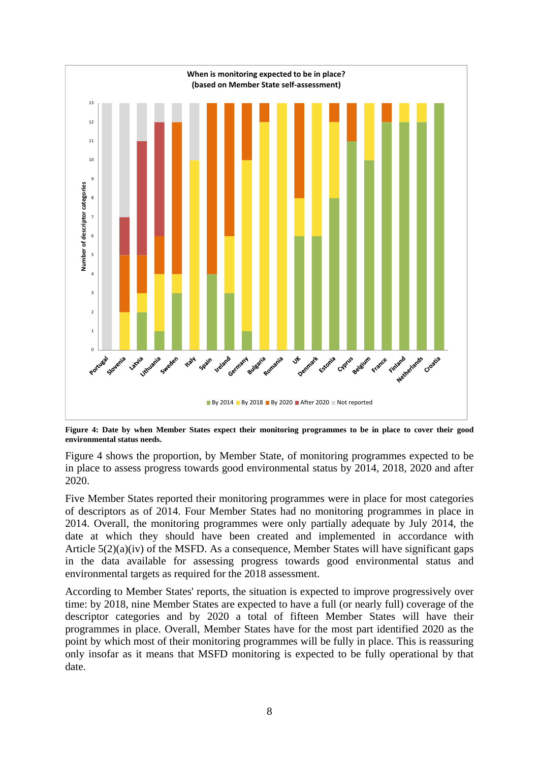

Figure 4: Date by when Member States expect their monitoring programmes to be in place to cover their good **environmental status needs.**

Figure 4 shows the proportion, by Member State, of monitoring programmes expected to be in place to assess progress towards good environmental status by 2014, 2018, 2020 and after 2020.

Five Member States reported their monitoring programmes were in place for most categories of descriptors as of 2014. Four Member States had no monitoring programmes in place in 2014. Overall, the monitoring programmes were only partially adequate by July 2014, the date at which they should have been created and implemented in accordance with Article  $5(2)(a)(iv)$  of the MSFD. As a consequence, Member States will have significant gaps in the data available for assessing progress towards good environmental status and environmental targets as required for the 2018 assessment.

According to Member States' reports, the situation is expected to improve progressively over time: by 2018, nine Member States are expected to have a full (or nearly full) coverage of the descriptor categories and by 2020 a total of fifteen Member States will have their programmes in place. Overall, Member States have for the most part identified 2020 as the point by which most of their monitoring programmes will be fully in place. This is reassuring only insofar as it means that MSFD monitoring is expected to be fully operational by that date.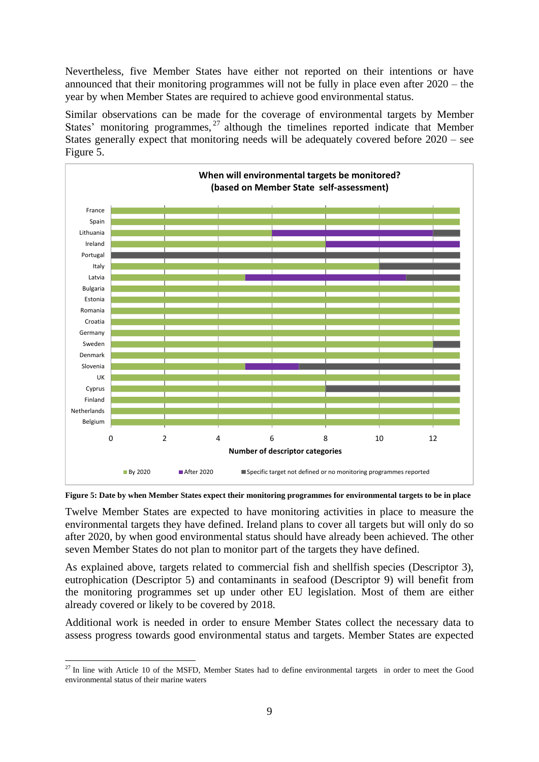Nevertheless, five Member States have either not reported on their intentions or have announced that their monitoring programmes will not be fully in place even after 2020 – the year by when Member States are required to achieve good environmental status.

Similar observations can be made for the coverage of environmental targets by Member States' monitoring programmes,<sup>27</sup> although the timelines reported indicate that Member States generally expect that monitoring needs will be adequately covered before 2020 – see Figure 5.





Twelve Member States are expected to have monitoring activities in place to measure the environmental targets they have defined. Ireland plans to cover all targets but will only do so after 2020, by when good environmental status should have already been achieved. The other seven Member States do not plan to monitor part of the targets they have defined.

As explained above, targets related to commercial fish and shellfish species (Descriptor 3), eutrophication (Descriptor 5) and contaminants in seafood (Descriptor 9) will benefit from the monitoring programmes set up under other EU legislation. Most of them are either already covered or likely to be covered by 2018.

Additional work is needed in order to ensure Member States collect the necessary data to assess progress towards good environmental status and targets. Member States are expected

<sup>1</sup>  $27$  In line with Article 10 of the MSFD, Member States had to define environmental targets in order to meet the Good environmental status of their marine waters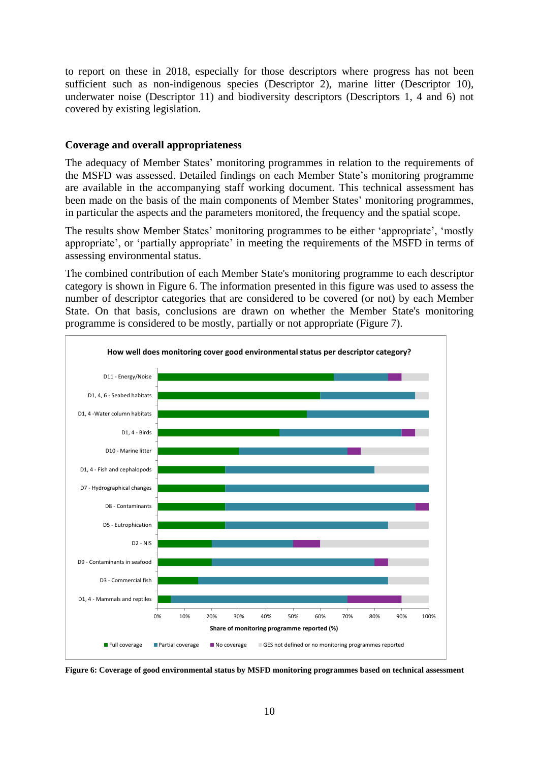to report on these in 2018, especially for those descriptors where progress has not been sufficient such as non-indigenous species (Descriptor 2), marine litter (Descriptor 10), underwater noise (Descriptor 11) and biodiversity descriptors (Descriptors 1, 4 and 6) not covered by existing legislation.

### **Coverage and overall appropriateness**

The adequacy of Member States' monitoring programmes in relation to the requirements of the MSFD was assessed. Detailed findings on each Member State's monitoring programme are available in the accompanying staff working document. This technical assessment has been made on the basis of the main components of Member States' monitoring programmes, in particular the aspects and the parameters monitored, the frequency and the spatial scope.

The results show Member States' monitoring programmes to be either 'appropriate', 'mostly appropriate', or 'partially appropriate' in meeting the requirements of the MSFD in terms of assessing environmental status.

The combined contribution of each Member State's monitoring programme to each descriptor category is shown in Figure 6. The information presented in this figure was used to assess the number of descriptor categories that are considered to be covered (or not) by each Member State. On that basis, conclusions are drawn on whether the Member State's monitoring programme is considered to be mostly, partially or not appropriate (Figure 7).



**Figure 6: Coverage of good environmental status by MSFD monitoring programmes based on technical assessment**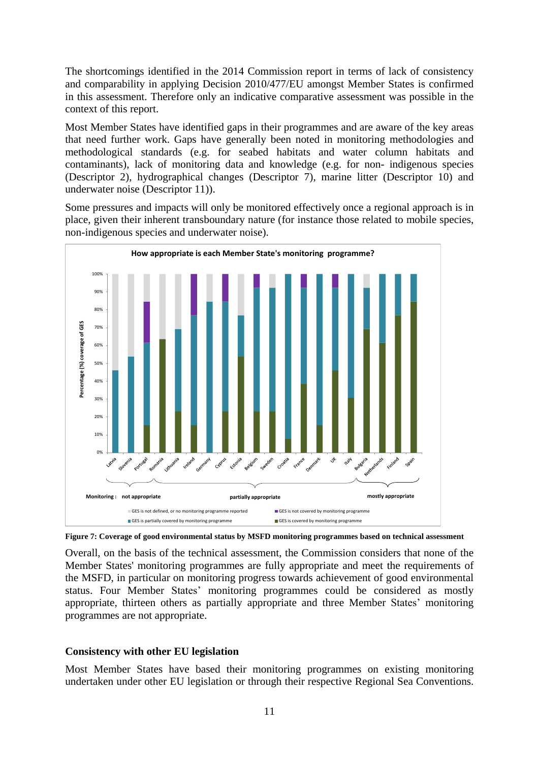The shortcomings identified in the 2014 Commission report in terms of lack of consistency and comparability in applying Decision 2010/477/EU amongst Member States is confirmed in this assessment. Therefore only an indicative comparative assessment was possible in the context of this report.

Most Member States have identified gaps in their programmes and are aware of the key areas that need further work. Gaps have generally been noted in monitoring methodologies and methodological standards (e.g. for seabed habitats and water column habitats and contaminants), lack of monitoring data and knowledge (e.g. for non- indigenous species (Descriptor 2), hydrographical changes (Descriptor 7), marine litter (Descriptor 10) and underwater noise (Descriptor 11)).

Some pressures and impacts will only be monitored effectively once a regional approach is in place, given their inherent transboundary nature (for instance those related to mobile species, non-indigenous species and underwater noise).



**Figure 7: Coverage of good environmental status by MSFD monitoring programmes based on technical assessment**

Overall, on the basis of the technical assessment, the Commission considers that none of the Member States' monitoring programmes are fully appropriate and meet the requirements of the MSFD, in particular on monitoring progress towards achievement of good environmental status. Four Member States' monitoring programmes could be considered as mostly appropriate, thirteen others as partially appropriate and three Member States' monitoring programmes are not appropriate.

## **Consistency with other EU legislation**

Most Member States have based their monitoring programmes on existing monitoring undertaken under other EU legislation or through their respective Regional Sea Conventions.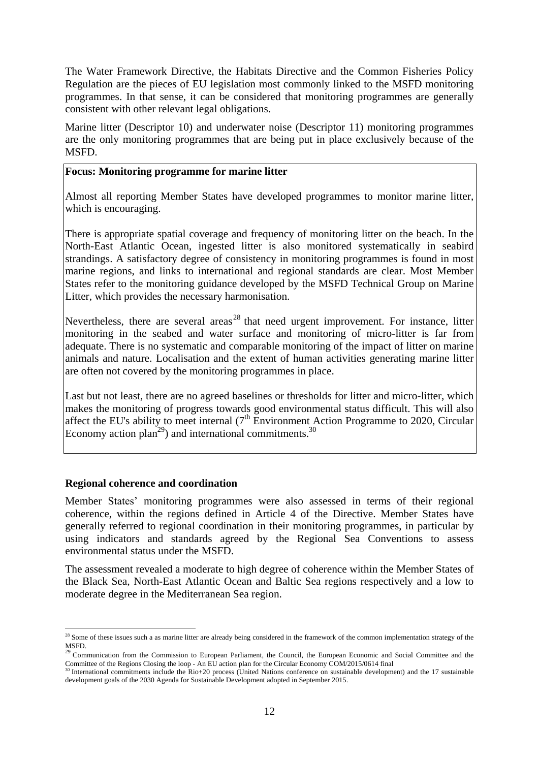The Water Framework Directive, the Habitats Directive and the Common Fisheries Policy Regulation are the pieces of EU legislation most commonly linked to the MSFD monitoring programmes. In that sense, it can be considered that monitoring programmes are generally consistent with other relevant legal obligations.

Marine litter (Descriptor 10) and underwater noise (Descriptor 11) monitoring programmes are the only monitoring programmes that are being put in place exclusively because of the MSFD.

### **Focus: Monitoring programme for marine litter**

Almost all reporting Member States have developed programmes to monitor marine litter, which is encouraging.

There is appropriate spatial coverage and frequency of monitoring litter on the beach. In the North-East Atlantic Ocean, ingested litter is also monitored systematically in seabird strandings. A satisfactory degree of consistency in monitoring programmes is found in most marine regions, and links to international and regional standards are clear. Most Member States refer to the monitoring guidance developed by the MSFD Technical Group on Marine Litter, which provides the necessary harmonisation.

Nevertheless, there are several areas<sup>28</sup> that need urgent improvement. For instance, litter monitoring in the seabed and water surface and monitoring of micro-litter is far from adequate. There is no systematic and comparable monitoring of the impact of litter on marine animals and nature. Localisation and the extent of human activities generating marine litter are often not covered by the monitoring programmes in place.

Last but not least, there are no agreed baselines or thresholds for litter and micro-litter, which makes the monitoring of progress towards good environmental status difficult. This will also affect the EU's ability to meet internal  $(7<sup>th</sup>$  Environment Action Programme to 2020, Circular Economy action plan<sup>29</sup>) and international commitments.<sup>30</sup>

### **Regional coherence and coordination**

1

Member States' monitoring programmes were also assessed in terms of their regional coherence, within the regions defined in Article 4 of the Directive. Member States have generally referred to regional coordination in their monitoring programmes, in particular by using indicators and standards agreed by the Regional Sea Conventions to assess environmental status under the MSFD.

The assessment revealed a moderate to high degree of coherence within the Member States of the Black Sea, North-East Atlantic Ocean and Baltic Sea regions respectively and a low to moderate degree in the Mediterranean Sea region.

 $28$  Some of these issues such a as marine litter are already being considered in the framework of the common implementation strategy of the MSFD.<br><sup>29</sup> Communication from the Commission to European Parliament, the Council, the European Economic and Social Committee and the

Committee of the Regions Closing the loop - An EU action plan for the Circular Economy COM/2015/0614 final Committee of the Regions Closing the loop - An EU action plan for the Circular Economy COM/2015/0614 final<br><sup>30</sup> International commitments include the Rio+20 process (United Nations conference on sustainable development) an

development goals of the 2030 Agenda for Sustainable Development adopted in September 2015.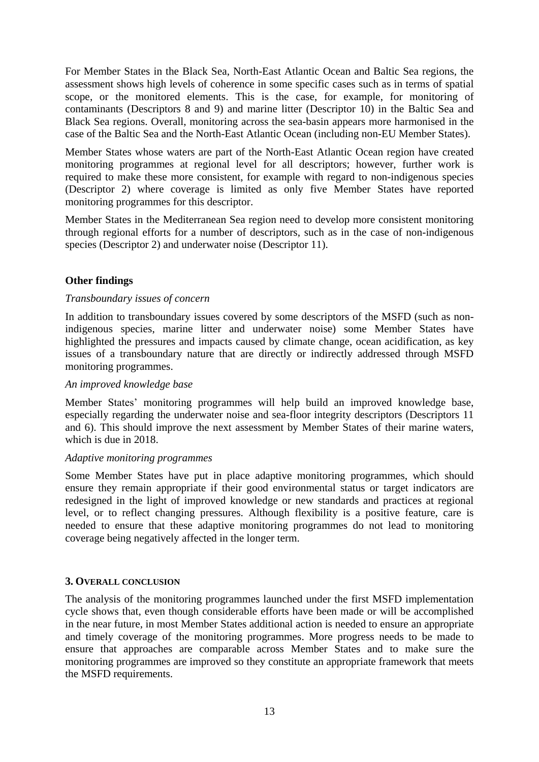For Member States in the Black Sea, North-East Atlantic Ocean and Baltic Sea regions, the assessment shows high levels of coherence in some specific cases such as in terms of spatial scope, or the monitored elements. This is the case, for example, for monitoring of contaminants (Descriptors 8 and 9) and marine litter (Descriptor 10) in the Baltic Sea and Black Sea regions. Overall, monitoring across the sea-basin appears more harmonised in the case of the Baltic Sea and the North-East Atlantic Ocean (including non-EU Member States).

Member States whose waters are part of the North-East Atlantic Ocean region have created monitoring programmes at regional level for all descriptors; however, further work is required to make these more consistent, for example with regard to non-indigenous species (Descriptor 2) where coverage is limited as only five Member States have reported monitoring programmes for this descriptor.

Member States in the Mediterranean Sea region need to develop more consistent monitoring through regional efforts for a number of descriptors, such as in the case of non-indigenous species (Descriptor 2) and underwater noise (Descriptor 11).

## **Other findings**

### *Transboundary issues of concern*

In addition to transboundary issues covered by some descriptors of the MSFD (such as nonindigenous species, marine litter and underwater noise) some Member States have highlighted the pressures and impacts caused by climate change, ocean acidification, as key issues of a transboundary nature that are directly or indirectly addressed through MSFD monitoring programmes.

#### *An improved knowledge base*

Member States' monitoring programmes will help build an improved knowledge base, especially regarding the underwater noise and sea-floor integrity descriptors (Descriptors 11 and 6). This should improve the next assessment by Member States of their marine waters, which is due in 2018.

#### *Adaptive monitoring programmes*

Some Member States have put in place adaptive monitoring programmes, which should ensure they remain appropriate if their good environmental status or target indicators are redesigned in the light of improved knowledge or new standards and practices at regional level, or to reflect changing pressures. Although flexibility is a positive feature, care is needed to ensure that these adaptive monitoring programmes do not lead to monitoring coverage being negatively affected in the longer term.

### **3. OVERALL CONCLUSION**

The analysis of the monitoring programmes launched under the first MSFD implementation cycle shows that, even though considerable efforts have been made or will be accomplished in the near future, in most Member States additional action is needed to ensure an appropriate and timely coverage of the monitoring programmes. More progress needs to be made to ensure that approaches are comparable across Member States and to make sure the monitoring programmes are improved so they constitute an appropriate framework that meets the MSFD requirements.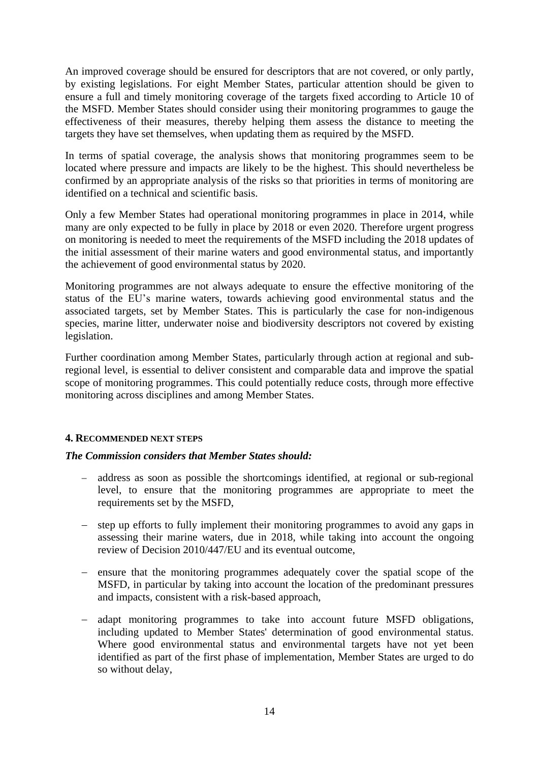An improved coverage should be ensured for descriptors that are not covered, or only partly, by existing legislations. For eight Member States, particular attention should be given to ensure a full and timely monitoring coverage of the targets fixed according to Article 10 of the MSFD. Member States should consider using their monitoring programmes to gauge the effectiveness of their measures, thereby helping them assess the distance to meeting the targets they have set themselves, when updating them as required by the MSFD.

In terms of spatial coverage, the analysis shows that monitoring programmes seem to be located where pressure and impacts are likely to be the highest. This should nevertheless be confirmed by an appropriate analysis of the risks so that priorities in terms of monitoring are identified on a technical and scientific basis.

Only a few Member States had operational monitoring programmes in place in 2014, while many are only expected to be fully in place by 2018 or even 2020. Therefore urgent progress on monitoring is needed to meet the requirements of the MSFD including the 2018 updates of the initial assessment of their marine waters and good environmental status, and importantly the achievement of good environmental status by 2020.

Monitoring programmes are not always adequate to ensure the effective monitoring of the status of the EU's marine waters, towards achieving good environmental status and the associated targets, set by Member States. This is particularly the case for non-indigenous species, marine litter, underwater noise and biodiversity descriptors not covered by existing legislation.

Further coordination among Member States, particularly through action at regional and subregional level, is essential to deliver consistent and comparable data and improve the spatial scope of monitoring programmes. This could potentially reduce costs, through more effective monitoring across disciplines and among Member States.

### **4. RECOMMENDED NEXT STEPS**

### *The Commission considers that Member States should:*

- address as soon as possible the shortcomings identified, at regional or sub-regional level, to ensure that the monitoring programmes are appropriate to meet the requirements set by the MSFD,
- step up efforts to fully implement their monitoring programmes to avoid any gaps in assessing their marine waters, due in 2018, while taking into account the ongoing review of Decision 2010/447/EU and its eventual outcome,
- ensure that the monitoring programmes adequately cover the spatial scope of the MSFD, in particular by taking into account the location of the predominant pressures and impacts, consistent with a risk-based approach,
- adapt monitoring programmes to take into account future MSFD obligations, including updated to Member States' determination of good environmental status. Where good environmental status and environmental targets have not yet been identified as part of the first phase of implementation, Member States are urged to do so without delay,